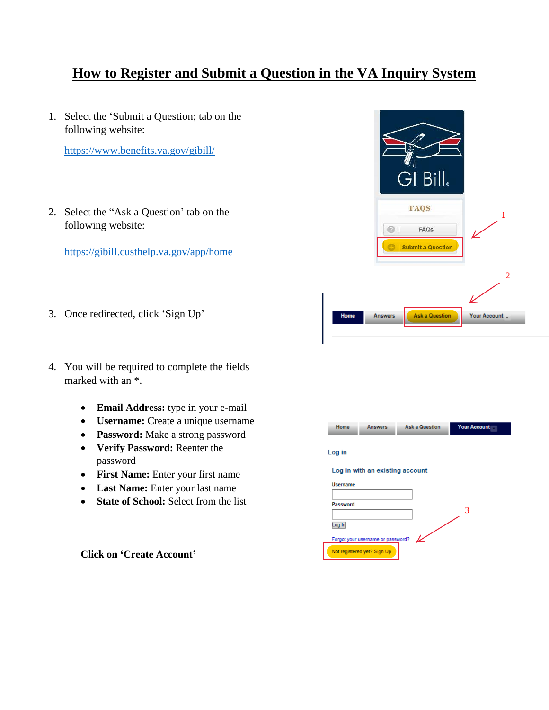## **How to Register and Submit a Question in the VA Inquiry System**

1. Select the 'Submit a Question; tab on the following website:

<https://www.benefits.va.gov/gibill/>

2. Select the "Ask a Question' tab on the following website:

<https://gibill.custhelp.va.gov/app/home>

- 3. Once redirected, click 'Sign Up'
- 4. You will be required to complete the fields marked with an \*.
	- **Email Address:** type in your e-mail
	- **Username:** Create a unique username
	- **Password:** Make a strong password
	- **Verify Password:** Reenter the password
	- **First Name:** Enter your first name
	- **Last Name:** Enter your last name
	- **State of School:** Select from the list

**Click on 'Create Account'**



| Home                              | <b>Answers</b>              | <b>Ask a Question</b> | Your Account |
|-----------------------------------|-----------------------------|-----------------------|--------------|
| Log in                            |                             |                       |              |
| Log in with an existing account   |                             |                       |              |
| <b>Username</b>                   |                             |                       |              |
| Password                          |                             |                       |              |
|                                   |                             |                       |              |
| Log In                            |                             |                       |              |
| Forgot your username or password? |                             |                       |              |
|                                   | Not registered yet? Sign Up |                       |              |